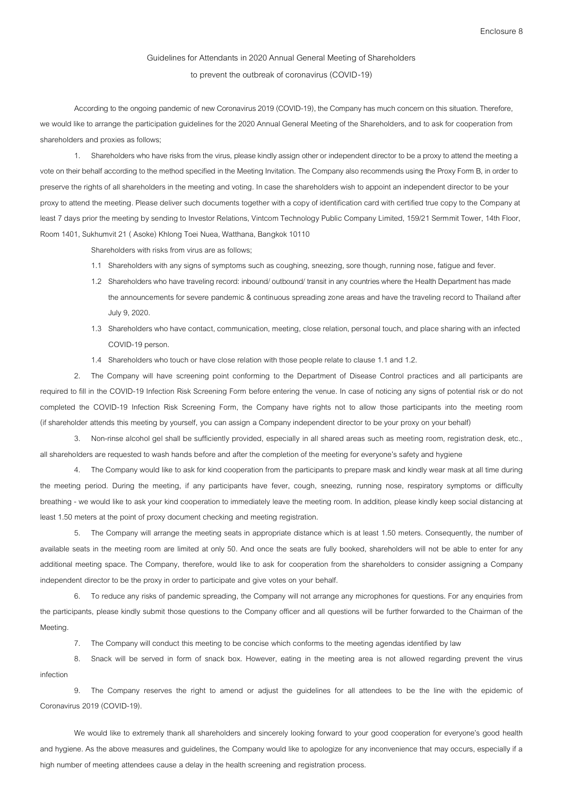## Guidelines for Attendants in 2020 Annual General Meeting of Shareholders

to prevent the outbreak of coronavirus (COVID-19)

According to the ongoing pandemic of new Coronavirus 2019 (COVID-19), the Company has much concern on this situation. Therefore, we would like to arrange the participation guidelines for the 2020 Annual General Meeting of the Shareholders, and to ask for cooperation from shareholders and proxies as follows;

1. Shareholders who have risks from the virus, please kindly assign other or independent director to be a proxy to attend the meeting a vote on their behalf according to the method specified in the Meeting Invitation. The Company also recommends using the Proxy Form B, in order to preserve the rights of all shareholders in the meeting and voting. In case the shareholders wish to appoint an independent director to be your proxy to attend the meeting. Please deliver such documents together with a copy of identification card with certified true copy to the Company at least 7 days prior the meeting by sending to Investor Relations, Vintcom Technology Public Company Limited, 159/21 Sermmit Tower, 14th Floor, Room 1401, Sukhumvit 21 ( Asoke) Khlong Toei Nuea, Watthana, Bangkok 10110

Shareholders with risks from virus are as follows;

- 1.1 Shareholders with any signs of symptoms such as coughing, sneezing, sore though, running nose, fatigue and fever.
- 1.2 Shareholders who have traveling record: inbound/ outbound/ transit in any countries where the Health Department has made the announcements for severe pandemic & continuous spreading zone areas and have the traveling record to Thailand after July 9,2020.
- 1.3 Shareholders who have contact, communication, meeting, close relation, personal touch, and place sharing with an infected COVID-19 person.
- 1.4 Shareholders who touch or have close relation with those people relate to clause 1.1 and 1.2.

2. The Company will have screening point conforming to the Department of Disease Control practices and all participants are required to fill in the COVID-19 Infection Risk Screening Form before entering the venue. In case of noticing any signs of potential risk or do not completed the COVID-19 Infection Risk Screening Form, the Company have rights not to allow those participants into the meeting room (if shareholder attends this meeting by yourself, you can assign a Company independent director to be your proxy on your behalf)

3. Non-rinse alcohol gel shall be sufficiently provided, especially in all shared areas such as meeting room, registration desk, etc., all shareholders are requested to wash hands before and after the completion of the meeting for everyone's safety and hygiene

4. The Company would like to ask for kind cooperation from the participants to prepare mask and kindly wear mask at all time during the meeting period. During the meeting, if any participants have fever, cough, sneezing, running nose, respiratory symptoms or difficulty breathing - we would like to ask your kind cooperation to immediately leave the meeting room. In addition, please kindly keep social distancing at least 1.50 meters at the point of proxy document checking and meeting registration.

5. The Company will arrange the meeting seats in appropriate distance which is at least 1.50 meters. Consequently, the number of available seats in the meeting room are limited at only 50. And once the seats are fully booked, shareholders will not be able to enter for any additional meeting space. The Company, therefore, would like to ask for cooperation from the shareholders to consider assigning a Company independent director to be the proxy in order to participate and give votes on your behalf.

6. To reduce any risks of pandemic spreading, the Company will not arrange any microphones for questions. For any enquiries from the participants, please kindly submit those questions to the Company officer and all questions will be further forwarded to the Chairman of the Meeting.

7. The Company will conduct this meeting to be concise which conforms to the meeting agendas identified by law

8. Snack will be served in form of snack box. However, eating in the meeting area is not allowed regarding prevent the virus infection

9. The Company reserves the right to amend or adjust the guidelines for all attendees to be the line with the epidemic of Coronavirus 2019 (COVID-19).

We would like to extremely thank all shareholders and sincerely looking forward to your good cooperation for everyone's good health and hygiene. As the above measures and guidelines, the Company would like to apologize for any inconvenience that may occurs, especially if a high number of meeting attendees cause a delay in the health screening and registration process.